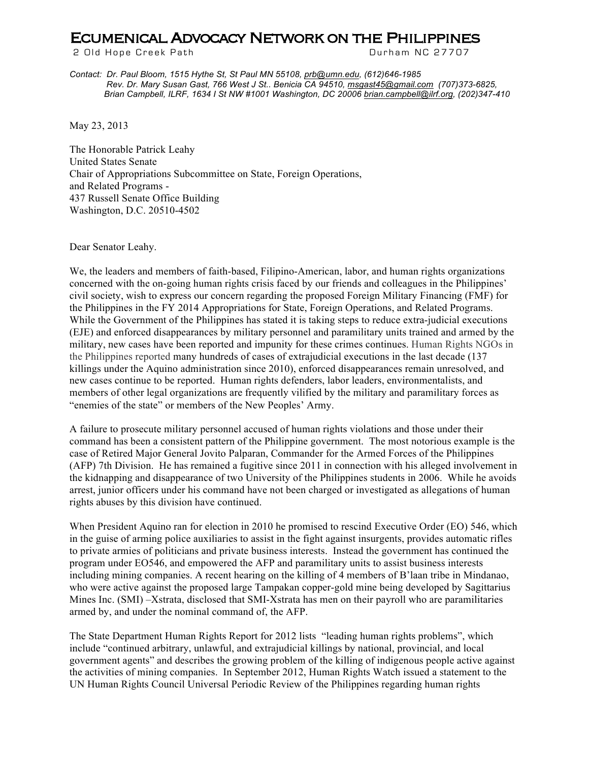## **ECUMENICAL ADVOCACY NETWORK ON THE PHILIPPINES**<br>2 Old Hope Creek Path **Path Path Path Burham NC 27707**

2 Old Hope Creek Path

*Contact: Dr. Paul Bloom, 1515 Hythe St, St Paul MN 55108, prb@umn.edu, (612)646-1985 Rev. Dr. Mary Susan Gast, 766 West J St.. Benicia CA 94510, msgast45@gmail.com (707)373-6825, Brian Campbell, ILRF, 1634 I St NW #1001 Washington, DC 20006 brian.campbell@ilrf.org, (202)347-410*

May 23, 2013

The Honorable Patrick Leahy United States Senate Chair of Appropriations Subcommittee on State, Foreign Operations, and Related Programs - 437 Russell Senate Office Building Washington, D.C. 20510-4502

Dear Senator Leahy.

We, the leaders and members of faith-based. Filipino-American, labor, and human rights organizations concerned with the on-going human rights crisis faced by our friends and colleagues in the Philippines' civil society, wish to express our concern regarding the proposed Foreign Military Financing (FMF) for the Philippines in the FY 2014 Appropriations for State, Foreign Operations, and Related Programs. While the Government of the Philippines has stated it is taking steps to reduce extra-judicial executions (EJE) and enforced disappearances by military personnel and paramilitary units trained and armed by the military, new cases have been reported and impunity for these crimes continues. Human Rights NGOs in the Philippines reported many hundreds of cases of extrajudicial executions in the last decade (137 killings under the Aquino administration since 2010), enforced disappearances remain unresolved, and new cases continue to be reported. Human rights defenders, labor leaders, environmentalists, and members of other legal organizations are frequently vilified by the military and paramilitary forces as "enemies of the state" or members of the New Peoples' Army.

A failure to prosecute military personnel accused of human rights violations and those under their command has been a consistent pattern of the Philippine government. The most notorious example is the case of Retired Major General Jovito Palparan, Commander for the Armed Forces of the Philippines (AFP) 7th Division. He has remained a fugitive since 2011 in connection with his alleged involvement in the kidnapping and disappearance of two University of the Philippines students in 2006. While he avoids arrest, junior officers under his command have not been charged or investigated as allegations of human rights abuses by this division have continued.

When President Aquino ran for election in 2010 he promised to rescind Executive Order (EO) 546, which in the guise of arming police auxiliaries to assist in the fight against insurgents, provides automatic rifles to private armies of politicians and private business interests. Instead the government has continued the program under EO546, and empowered the AFP and paramilitary units to assist business interests including mining companies. A recent hearing on the killing of 4 members of B'laan tribe in Mindanao, who were active against the proposed large Tampakan copper-gold mine being developed by Sagittarius Mines Inc. (SMI) –Xstrata, disclosed that SMI-Xstrata has men on their payroll who are paramilitaries armed by, and under the nominal command of, the AFP.

The State Department Human Rights Report for 2012 lists "leading human rights problems", which include "continued arbitrary, unlawful, and extrajudicial killings by national, provincial, and local government agents" and describes the growing problem of the killing of indigenous people active against the activities of mining companies. In September 2012, Human Rights Watch issued a statement to the UN Human Rights Council Universal Periodic Review of the Philippines regarding human rights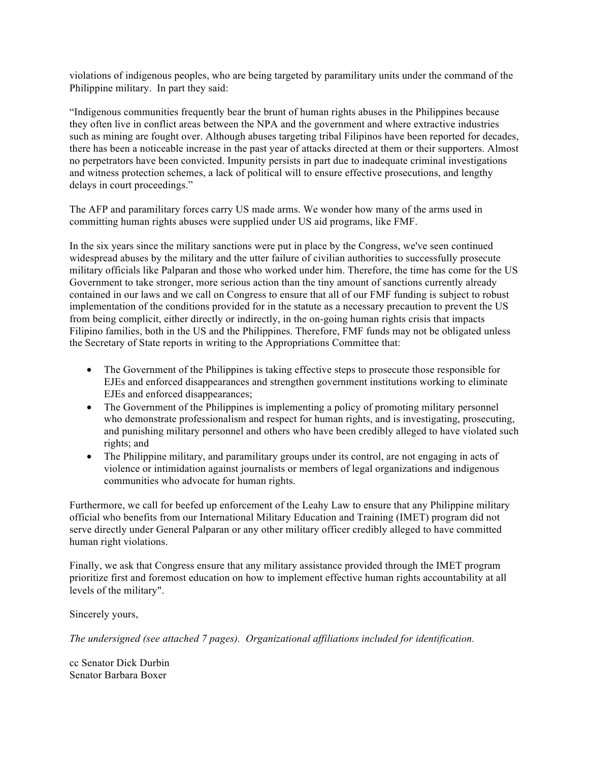violations of indigenous peoples, who are being targeted by paramilitary units under the command of the Philippine military. In part they said:

"Indigenous communities frequently bear the brunt of human rights abuses in the Philippines because they often live in conflict areas between the NPA and the government and where extractive industries such as mining are fought over. Although abuses targeting tribal Filipinos have been reported for decades, there has been a noticeable increase in the past year of attacks directed at them or their supporters. Almost no perpetrators have been convicted. Impunity persists in part due to inadequate criminal investigations and witness protection schemes, a lack of political will to ensure effective prosecutions, and lengthy delays in court proceedings."

The AFP and paramilitary forces carry US made arms. We wonder how many of the arms used in committing human rights abuses were supplied under US aid programs, like FMF.

In the six years since the military sanctions were put in place by the Congress, we've seen continued widespread abuses by the military and the utter failure of civilian authorities to successfully prosecute military officials like Palparan and those who worked under him. Therefore, the time has come for the US Government to take stronger, more serious action than the tiny amount of sanctions currently already contained in our laws and we call on Congress to ensure that all of our FMF funding is subject to robust implementation of the conditions provided for in the statute as a necessary precaution to prevent the US from being complicit, either directly or indirectly, in the on-going human rights crisis that impacts Filipino families, both in the US and the Philippines. Therefore, FMF funds may not be obligated unless the Secretary of State reports in writing to the Appropriations Committee that:

- The Government of the Philippines is taking effective steps to prosecute those responsible for EJEs and enforced disappearances and strengthen government institutions working to eliminate EJEs and enforced disappearances;
- The Government of the Philippines is implementing a policy of promoting military personnel who demonstrate professionalism and respect for human rights, and is investigating, prosecuting, and punishing military personnel and others who have been credibly alleged to have violated such rights; and
- The Philippine military, and paramilitary groups under its control, are not engaging in acts of violence or intimidation against journalists or members of legal organizations and indigenous communities who advocate for human rights.

Furthermore, we call for beefed up enforcement of the Leahy Law to ensure that any Philippine military official who benefits from our International Military Education and Training (IMET) program did not serve directly under General Palparan or any other military officer credibly alleged to have committed human right violations.

Finally, we ask that Congress ensure that any military assistance provided through the IMET program prioritize first and foremost education on how to implement effective human rights accountability at all levels of the military".

Sincerely yours,

*The undersigned (see attached 7 pages). Organizational affiliations included for identification.*

cc Senator Dick Durbin Senator Barbara Boxer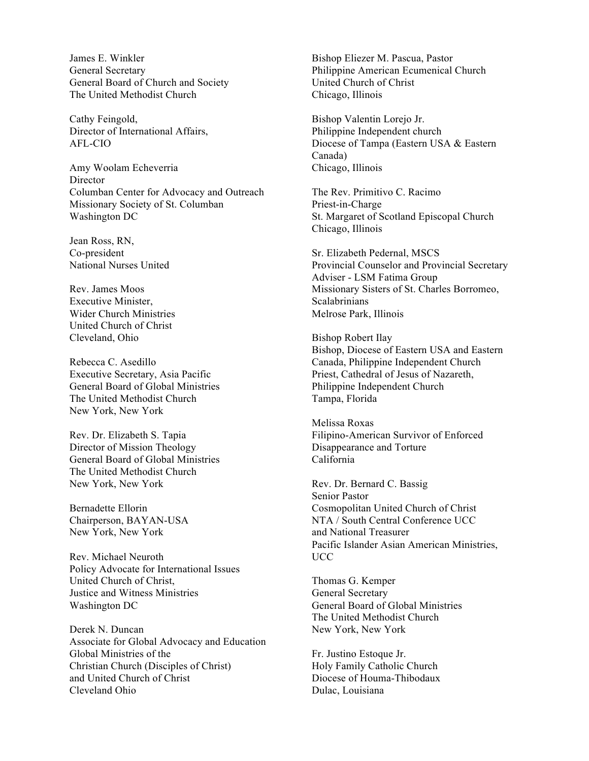James E. Winkler General Secretary General Board of Church and Society The United Methodist Church

Cathy Feingold, Director of International Affairs, AFL-CIO

Amy Woolam Echeverria Director Columban Center for Advocacy and Outreach Missionary Society of St. Columban Washington DC

Jean Ross, RN, Co-president National Nurses United

Rev. James Moos Executive Minister, Wider Church Ministries United Church of Christ Cleveland, Ohio

Rebecca C. Asedillo Executive Secretary, Asia Pacific General Board of Global Ministries The United Methodist Church New York, New York

Rev. Dr. Elizabeth S. Tapia Director of Mission Theology General Board of Global Ministries The United Methodist Church New York, New York

Bernadette Ellorin Chairperson, BAYAN-USA New York, New York

Rev. Michael Neuroth Policy Advocate for International Issues United Church of Christ, Justice and Witness Ministries Washington DC

Derek N. Duncan Associate for Global Advocacy and Education Global Ministries of the Christian Church (Disciples of Christ) and United Church of Christ Cleveland Ohio

Bishop Eliezer M. Pascua, Pastor Philippine American Ecumenical Church United Church of Christ Chicago, Illinois

Bishop Valentin Lorejo Jr. Philippine Independent church Diocese of Tampa (Eastern USA & Eastern Canada) Chicago, Illinois

The Rev. Primitivo C. Racimo Priest-in-Charge St. Margaret of Scotland Episcopal Church Chicago, Illinois

Sr. Elizabeth Pedernal, MSCS Provincial Counselor and Provincial Secretary Adviser - LSM Fatima Group Missionary Sisters of St. Charles Borromeo, Scalabrinians Melrose Park, Illinois

Bishop Robert Ilay Bishop, Diocese of Eastern USA and Eastern Canada, Philippine Independent Church Priest, Cathedral of Jesus of Nazareth, Philippine Independent Church Tampa, Florida

Melissa Roxas Filipino-American Survivor of Enforced Disappearance and Torture California

Rev. Dr. Bernard C. Bassig Senior Pastor Cosmopolitan United Church of Christ NTA / South Central Conference UCC and National Treasurer Pacific Islander Asian American Ministries, UCC

Thomas G. Kemper General Secretary General Board of Global Ministries The United Methodist Church New York, New York

Fr. Justino Estoque Jr. Holy Family Catholic Church Diocese of Houma-Thibodaux Dulac, Louisiana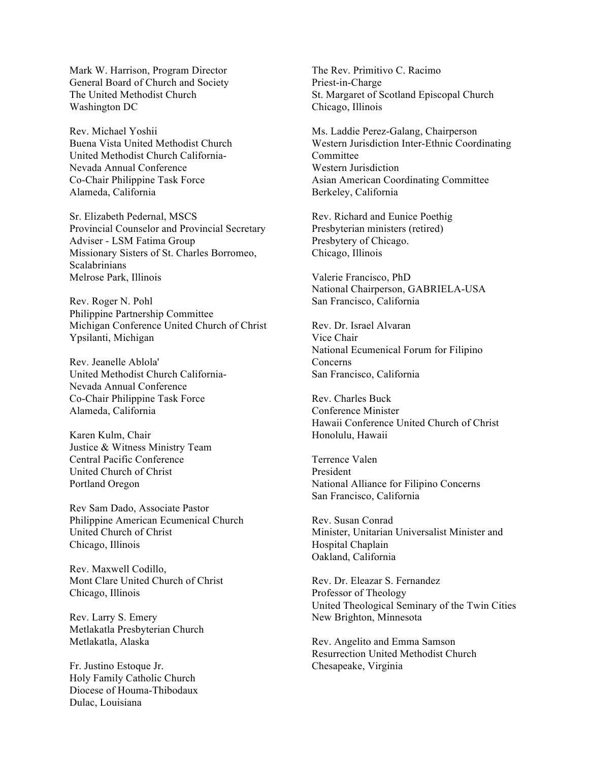Mark W. Harrison, Program Director General Board of Church and Society The United Methodist Church Washington DC

Rev. Michael Yoshii Buena Vista United Methodist Church United Methodist Church California-Nevada Annual Conference Co-Chair Philippine Task Force Alameda, California

Sr. Elizabeth Pedernal, MSCS Provincial Counselor and Provincial Secretary Adviser - LSM Fatima Group Missionary Sisters of St. Charles Borromeo, **Scalabrinians** Melrose Park, Illinois

Rev. Roger N. Pohl Philippine Partnership Committee Michigan Conference United Church of Christ Ypsilanti, Michigan

Rev. Jeanelle Ablola' United Methodist Church California-Nevada Annual Conference Co-Chair Philippine Task Force Alameda, California

Karen Kulm, Chair Justice & Witness Ministry Team Central Pacific Conference United Church of Christ Portland Oregon

Rev Sam Dado, Associate Pastor Philippine American Ecumenical Church United Church of Christ Chicago, Illinois

Rev. Maxwell Codillo, Mont Clare United Church of Christ Chicago, Illinois

Rev. Larry S. Emery Metlakatla Presbyterian Church Metlakatla, Alaska

Fr. Justino Estoque Jr. Holy Family Catholic Church Diocese of Houma-Thibodaux Dulac, Louisiana

The Rev. Primitivo C. Racimo Priest-in-Charge St. Margaret of Scotland Episcopal Church Chicago, Illinois

Ms. Laddie Perez-Galang, Chairperson Western Jurisdiction Inter-Ethnic Coordinating **Committee** Western Jurisdiction Asian American Coordinating Committee Berkeley, California

Rev. Richard and Eunice Poethig Presbyterian ministers (retired) Presbytery of Chicago. Chicago, Illinois

Valerie Francisco, PhD National Chairperson, GABRIELA-USA San Francisco, California

Rev. Dr. Israel Alvaran Vice Chair National Ecumenical Forum for Filipino Concerns San Francisco, California

Rev. Charles Buck Conference Minister Hawaii Conference United Church of Christ Honolulu, Hawaii

Terrence Valen President National Alliance for Filipino Concerns San Francisco, California

Rev. Susan Conrad Minister, Unitarian Universalist Minister and Hospital Chaplain Oakland, California

Rev. Dr. Eleazar S. Fernandez Professor of Theology United Theological Seminary of the Twin Cities New Brighton, Minnesota

Rev. Angelito and Emma Samson Resurrection United Methodist Church Chesapeake, Virginia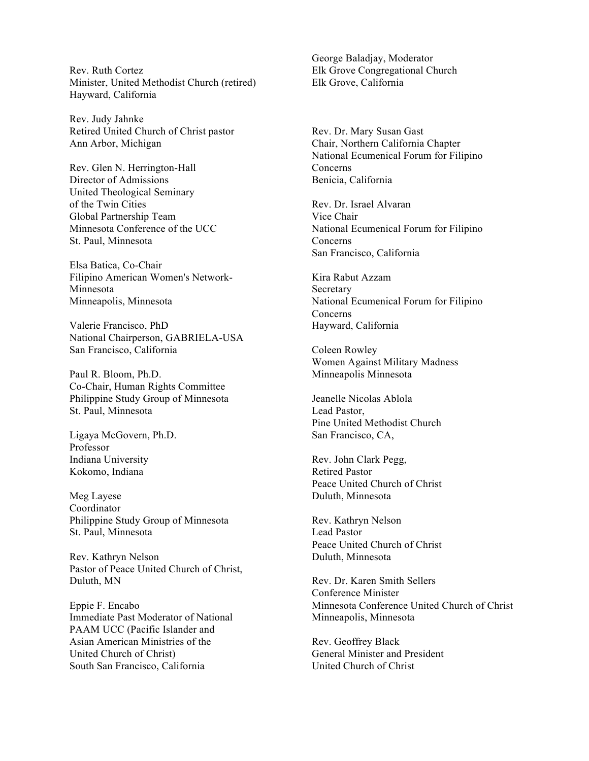Rev. Ruth Cortez Minister, United Methodist Church (retired) Hayward, California

Rev. Judy Jahnke Retired United Church of Christ pastor Ann Arbor, Michigan

Rev. Glen N. Herrington-Hall Director of Admissions United Theological Seminary of the Twin Cities Global Partnership Team Minnesota Conference of the UCC St. Paul, Minnesota

Elsa Batica, Co-Chair Filipino American Women's Network-Minnesota Minneapolis, Minnesota

Valerie Francisco, PhD National Chairperson, GABRIELA-USA San Francisco, California

Paul R. Bloom, Ph.D. Co-Chair, Human Rights Committee Philippine Study Group of Minnesota St. Paul, Minnesota

Ligaya McGovern, Ph.D. Professor Indiana University Kokomo, Indiana

Meg Layese Coordinator Philippine Study Group of Minnesota St. Paul, Minnesota

Rev. Kathryn Nelson Pastor of Peace United Church of Christ, Duluth, MN

Eppie F. Encabo Immediate Past Moderator of National PAAM UCC (Pacific Islander and Asian American Ministries of the United Church of Christ) South San Francisco, California

George Baladjay, Moderator Elk Grove Congregational Church Elk Grove, California

Rev. Dr. Mary Susan Gast Chair, Northern California Chapter National Ecumenical Forum for Filipino Concerns Benicia, California

Rev. Dr. Israel Alvaran Vice Chair National Ecumenical Forum for Filipino Concerns San Francisco, California

Kira Rabut Azzam Secretary National Ecumenical Forum for Filipino Concerns Hayward, California

Coleen Rowley Women Against Military Madness Minneapolis Minnesota

Jeanelle Nicolas Ablola Lead Pastor, Pine United Methodist Church San Francisco, CA,

Rev. John Clark Pegg, Retired Pastor Peace United Church of Christ Duluth, Minnesota

Rev. Kathryn Nelson Lead Pastor Peace United Church of Christ Duluth, Minnesota

Rev. Dr. Karen Smith Sellers Conference Minister Minnesota Conference United Church of Christ Minneapolis, Minnesota

Rev. Geoffrey Black General Minister and President United Church of Christ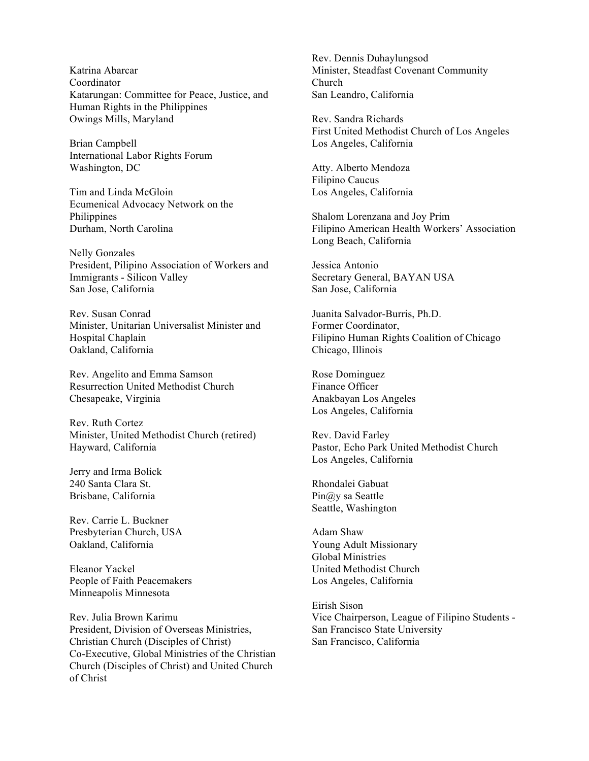Katrina Abarcar Coordinator Katarungan: Committee for Peace, Justice, and Human Rights in the Philippines Owings Mills, Maryland

Brian Campbell International Labor Rights Forum Washington, DC

Tim and Linda McGloin Ecumenical Advocacy Network on the Philippines Durham, North Carolina

Nelly Gonzales President, Pilipino Association of Workers and Immigrants - Silicon Valley San Jose, California

Rev. Susan Conrad Minister, Unitarian Universalist Minister and Hospital Chaplain Oakland, California

Rev. Angelito and Emma Samson Resurrection United Methodist Church Chesapeake, Virginia

Rev. Ruth Cortez Minister, United Methodist Church (retired) Hayward, California

Jerry and Irma Bolick 240 Santa Clara St. Brisbane, California

Rev. Carrie L. Buckner Presbyterian Church, USA Oakland, California

Eleanor Yackel People of Faith Peacemakers Minneapolis Minnesota

Rev. Julia Brown Karimu President, Division of Overseas Ministries, Christian Church (Disciples of Christ) Co-Executive, Global Ministries of the Christian Church (Disciples of Christ) and United Church of Christ

Rev. Dennis Duhaylungsod Minister, Steadfast Covenant Community Church San Leandro, California

Rev. Sandra Richards First United Methodist Church of Los Angeles Los Angeles, California

Atty. Alberto Mendoza Filipino Caucus Los Angeles, California

Shalom Lorenzana and Joy Prim Filipino American Health Workers' Association Long Beach, California

Jessica Antonio Secretary General, BAYAN USA San Jose, California

Juanita Salvador-Burris, Ph.D. Former Coordinator, Filipino Human Rights Coalition of Chicago Chicago, Illinois

Rose Dominguez Finance Officer Anakbayan Los Angeles Los Angeles, California

Rev. David Farley Pastor, Echo Park United Methodist Church Los Angeles, California

Rhondalei Gabuat Pin@y sa Seattle Seattle, Washington

Adam Shaw Young Adult Missionary Global Ministries United Methodist Church Los Angeles, California

Eirish Sison Vice Chairperson, League of Filipino Students - San Francisco State University San Francisco, California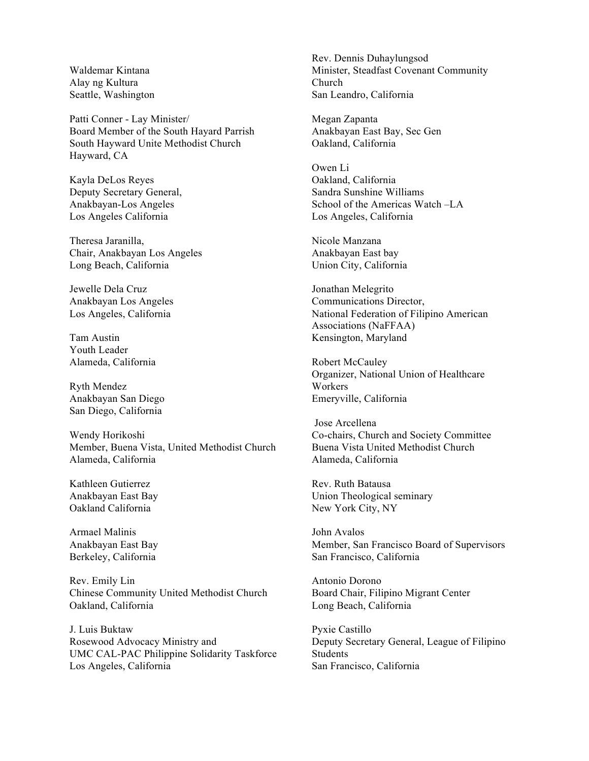Waldemar Kintana Alay ng Kultura Seattle, Washington

Patti Conner - Lay Minister/ Board Member of the South Hayard Parrish South Hayward Unite Methodist Church Hayward, CA

Kayla DeLos Reyes Deputy Secretary General, Anakbayan-Los Angeles Los Angeles California

Theresa Jaranilla, Chair, Anakbayan Los Angeles Long Beach, California

Jewelle Dela Cruz Anakbayan Los Angeles Los Angeles, California

Tam Austin Youth Leader Alameda, California

Ryth Mendez Anakbayan San Diego San Diego, California

Wendy Horikoshi Member, Buena Vista, United Methodist Church Alameda, California

Kathleen Gutierrez Anakbayan East Bay Oakland California

Armael Malinis Anakbayan East Bay Berkeley, California

Rev. Emily Lin Chinese Community United Methodist Church Oakland, California

J. Luis Buktaw Rosewood Advocacy Ministry and UMC CAL-PAC Philippine Solidarity Taskforce Los Angeles, California

Rev. Dennis Duhaylungsod Minister, Steadfast Covenant Community Church San Leandro, California

Megan Zapanta Anakbayan East Bay, Sec Gen Oakland, California

Owen Li Oakland, California Sandra Sunshine Williams School of the Americas Watch –LA Los Angeles, California

Nicole Manzana Anakbayan East bay Union City, California

Jonathan Melegrito Communications Director, National Federation of Filipino American Associations (NaFFAA) Kensington, Maryland

Robert McCauley Organizer, National Union of Healthcare Workers Emeryville, California

 Jose Arcellena Co-chairs, Church and Society Committee Buena Vista United Methodist Church Alameda, California

Rev. Ruth Batausa Union Theological seminary New York City, NY

John Avalos Member, San Francisco Board of Supervisors San Francisco, California

Antonio Dorono Board Chair, Filipino Migrant Center Long Beach, California

Pyxie Castillo Deputy Secretary General, League of Filipino Students San Francisco, California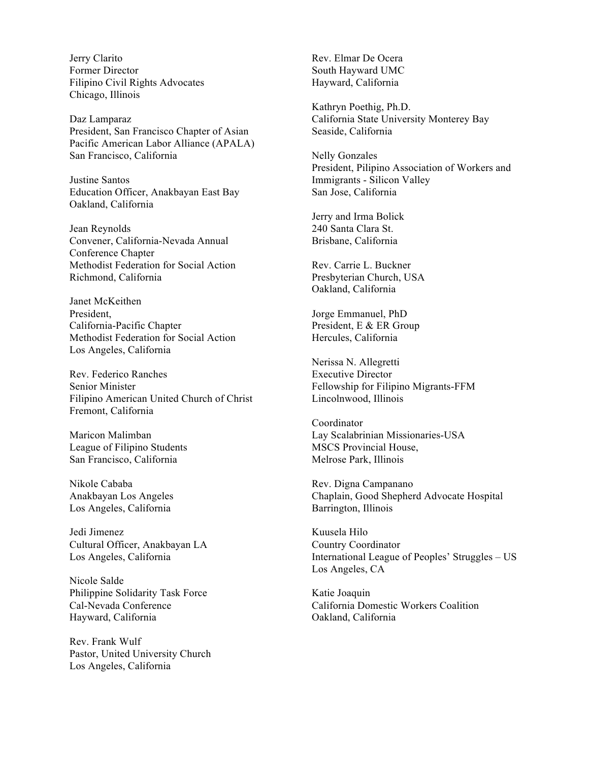Jerry Clarito Former Director Filipino Civil Rights Advocates Chicago, Illinois

Daz Lamparaz President, San Francisco Chapter of Asian Pacific American Labor Alliance (APALA) San Francisco, California

Justine Santos Education Officer, Anakbayan East Bay Oakland, California

Jean Reynolds Convener, California-Nevada Annual Conference Chapter Methodist Federation for Social Action Richmond, California

Janet McKeithen President, California-Pacific Chapter Methodist Federation for Social Action Los Angeles, California

Rev. Federico Ranches Senior Minister Filipino American United Church of Christ Fremont, California

Maricon Malimban League of Filipino Students San Francisco, California

Nikole Cababa Anakbayan Los Angeles Los Angeles, California

Jedi Jimenez Cultural Officer, Anakbayan LA Los Angeles, California

Nicole Salde Philippine Solidarity Task Force Cal-Nevada Conference Hayward, California

Rev. Frank Wulf Pastor, United University Church Los Angeles, California

Rev. Elmar De Ocera South Hayward UMC Hayward, California

Kathryn Poethig, Ph.D. California State University Monterey Bay Seaside, California

Nelly Gonzales President, Pilipino Association of Workers and Immigrants - Silicon Valley San Jose, California

Jerry and Irma Bolick 240 Santa Clara St. Brisbane, California

Rev. Carrie L. Buckner Presbyterian Church, USA Oakland, California

Jorge Emmanuel, PhD President, E & ER Group Hercules, California

Nerissa N. Allegretti Executive Director Fellowship for Filipino Migrants-FFM Lincolnwood, Illinois

Coordinator Lay Scalabrinian Missionaries-USA MSCS Provincial House, Melrose Park, Illinois

Rev. Digna Campanano Chaplain, Good Shepherd Advocate Hospital Barrington, Illinois

Kuusela Hilo Country Coordinator International League of Peoples' Struggles – US Los Angeles, CA

Katie Joaquin California Domestic Workers Coalition Oakland, California